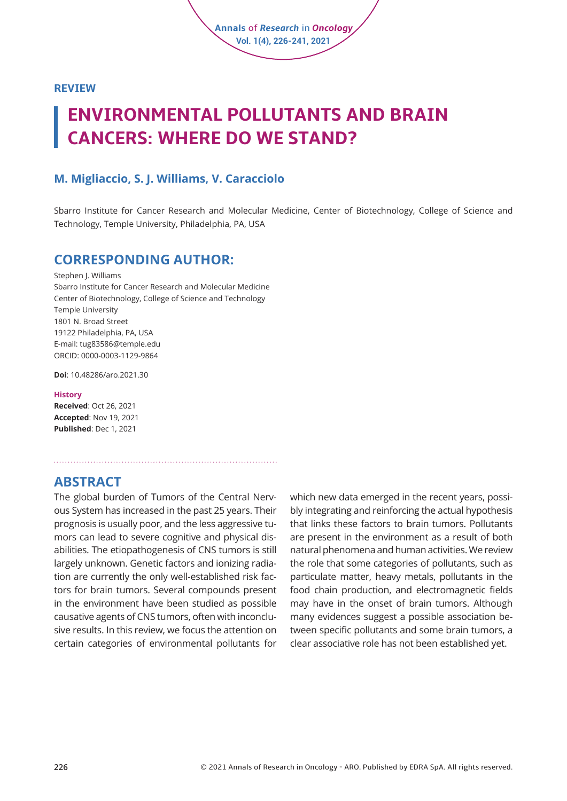

# **ENVIRONMENTAL POLLUTANTS AND BRAIN CANCERS: WHERE DO WE STAND?**

### **M. Migliaccio, S. J. Williams, V. Caracciolo**

Sbarro Institute for Cancer Research and Molecular Medicine, Center of Biotechnology, College of Science and Technology, Temple University, Philadelphia, PA, USA

**Annals** of *Research* in *Oncology* **Vol. 1(4), 226-241, 2021**

### **CORRESPONDING AUTHOR:**

Stephen I. Williams Sbarro Institute for Cancer Research and Molecular Medicine Center of Biotechnology, College of Science and Technology Temple University 1801 N. Broad Street 19122 Philadelphia, PA, USA E-mail: tug83586@temple.edu ORCID: 0000-0003-1129-9864

**Doi**: [10.48286/aro.2021.30](https://www.annals-research-oncology.com/environmental-pollutants-and-brain-cancers-where-do-we-stand/) 

#### **History**

**Received**: Oct 26, 2021 **Accepted**: Nov 19, 2021 **Published**: Dec 1, 2021

**ABSTRACT** 

The global burden of Tumors of the Central Nervous System has increased in the past 25 years. Their prognosis is usually poor, and the less aggressive tumors can lead to severe cognitive and physical disabilities. The etiopathogenesis of CNS tumors is still largely unknown. Genetic factors and ionizing radiation are currently the only well-established risk factors for brain tumors. Several compounds present in the environment have been studied as possible causative agents of CNS tumors, often with inconclusive results. In this review, we focus the attention on certain categories of environmental pollutants for

which new data emerged in the recent years, possibly integrating and reinforcing the actual hypothesis that links these factors to brain tumors. Pollutants are present in the environment as a result of both natural phenomena and human activities. We review the role that some categories of pollutants, such as particulate matter, heavy metals, pollutants in the food chain production, and electromagnetic fields may have in the onset of brain tumors. Although many evidences suggest a possible association between specific pollutants and some brain tumors, a clear associative role has not been established yet.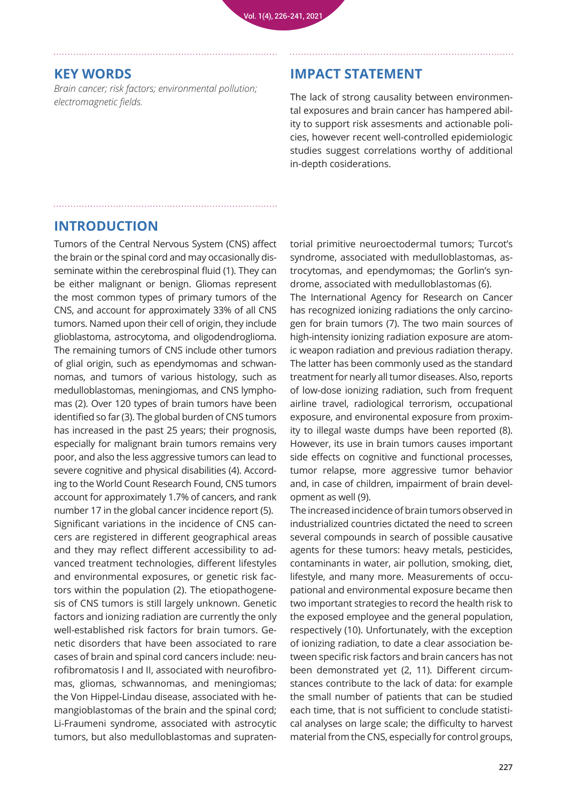### **KEY WORDS**

*Brain cancer; risk factors; environmental pollution; electromagnetic fields.* 

# **IMPACT STATEMENT**

The lack of strong causality between environmental exposures and brain cancer has hampered ability to support risk assesments and actionable policies, however recent well-controlled epidemiologic studies suggest correlations worthy of additional in-depth cosiderations.

# **INTRODUCTION**

Tumors of the Central Nervous System (CNS) affect the brain or the spinal cord and may occasionally disseminate within the cerebrospinal fluid (1). They can be either malignant or benign. Gliomas represent the most common types of primary tumors of the CNS, and account for approximately 33% of all CNS tumors. Named upon their cell of origin, they include glioblastoma, astrocytoma, and oligodendroglioma. The remaining tumors of CNS include other tumors of glial origin, such as ependymomas and schwannomas, and tumors of various histology, such as medulloblastomas, meningiomas, and CNS lymphomas (2). Over 120 types of brain tumors have been identified so far (3). The global burden of CNS tumors has increased in the past 25 years; their prognosis, especially for malignant brain tumors remains very poor, and also the less aggressive tumors can lead to severe cognitive and physical disabilities (4). According to the World Count Research Found, CNS tumors account for approximately 1.7% of cancers, and rank number 17 in the global cancer incidence report (5). Significant variations in the incidence of CNS cancers are registered in different geographical areas and they may reflect different accessibility to advanced treatment technologies, different lifestyles and environmental exposures, or genetic risk factors within the population (2). The etiopathogenesis of CNS tumors is still largely unknown. Genetic factors and ionizing radiation are currently the only well-established risk factors for brain tumors. Genetic disorders that have been associated to rare cases of brain and spinal cord cancers include: neurofibromatosis I and II, associated with neurofibromas, gliomas, schwannomas, and meningiomas; the Von Hippel-Lindau disease, associated with hemangioblastomas of the brain and the spinal cord; Li-Fraumeni syndrome, associated with astrocytic tumors, but also medulloblastomas and supratentorial primitive neuroectodermal tumors; Turcot's syndrome, associated with medulloblastomas, astrocytomas, and ependymomas; the Gorlin's syndrome, associated with medulloblastomas (6). The International Agency for Research on Cancer has recognized ionizing radiations the only carcinogen for brain tumors (7). The two main sources of high-intensity ionizing radiation exposure are atomic weapon radiation and previous radiation therapy. The latter has been commonly used as the standard treatment for nearly all tumor diseases. Also, reports of low-dose ionizing radiation, such from frequent airline travel, radiological terrorism, occupational exposure, and environental exposure from proximity to illegal waste dumps have been reported (8). However, its use in brain tumors causes important side effects on cognitive and functional processes, tumor relapse, more aggressive tumor behavior and, in case of children, impairment of brain development as well (9).

The increased incidence of brain tumors observed in industrialized countries dictated the need to screen several compounds in search of possible causative agents for these tumors: heavy metals, pesticides, contaminants in water, air pollution, smoking, diet, lifestyle, and many more. Measurements of occupational and environmental exposure became then two important strategies to record the health risk to the exposed employee and the general population, respectively (10). Unfortunately, with the exception of ionizing radiation, to date a clear association between specific risk factors and brain cancers has not been demonstrated yet (2, 11). Different circumstances contribute to the lack of data: for example the small number of patients that can be studied each time, that is not sufficient to conclude statistical analyses on large scale; the difficulty to harvest material from the CNS, especially for control groups,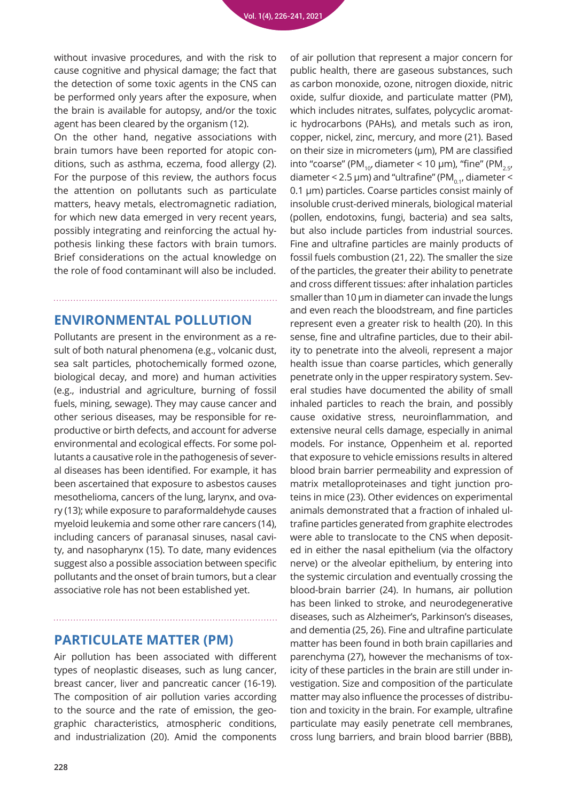without invasive procedures, and with the risk to cause cognitive and physical damage; the fact that the detection of some toxic agents in the CNS can be performed only years after the exposure, when the brain is available for autopsy, and/or the toxic agent has been cleared by the organism (12).

On the other hand, negative associations with brain tumors have been reported for atopic conditions, such as asthma, eczema, food allergy (2). For the purpose of this review, the authors focus the attention on pollutants such as particulate matters, heavy metals, electromagnetic radiation, for which new data emerged in very recent years, possibly integrating and reinforcing the actual hypothesis linking these factors with brain tumors. Brief considerations on the actual knowledge on the role of food contaminant will also be included.

# **ENVIRONMENTAL POLLUTION**

Pollutants are present in the environment as a result of both natural phenomena (e.g., volcanic dust, sea salt particles, photochemically formed ozone, biological decay, and more) and human activities (e.g., industrial and agriculture, burning of fossil fuels, mining, sewage). They may cause cancer and other serious diseases, may be responsible for reproductive or birth defects, and account for adverse environmental and ecological effects. For some pollutants a causative role in the pathogenesis of several diseases has been identified. For example, it has been ascertained that exposure to asbestos causes mesothelioma, cancers of the lung, larynx, and ovary (13); while exposure to paraformaldehyde causes myeloid leukemia and some other rare cancers (14), including cancers of paranasal sinuses, nasal cavity, and nasopharynx (15). To date, many evidences suggest also a possible association between specific pollutants and the onset of brain tumors, but a clear associative role has not been established yet.

## **PARTICULATE MATTER (PM)**

Air pollution has been associated with different types of neoplastic diseases, such as lung cancer, breast cancer, liver and pancreatic cancer (16-19). The composition of air pollution varies according to the source and the rate of emission, the geographic characteristics, atmospheric conditions, and industrialization (20). Amid the components

of air pollution that represent a major concern for public health, there are gaseous substances, such as carbon monoxide, ozone, nitrogen dioxide, nitric oxide, sulfur dioxide, and particulate matter (PM), which includes nitrates, sulfates, polycyclic aromatic hydrocarbons (PAHs), and metals such as iron, copper, nickel, zinc, mercury, and more (21). Based on their size in micrometers (µm), PM are classified into "coarse" (PM<sub>10</sub>, diameter < 10 µm), "fine" (PM<sub>2.5</sub>, diameter < 2.5  $\mu$ m) and "ultrafine" (PM $_{0.1}$ , diameter < 0.1 µm) particles. Coarse particles consist mainly of insoluble crust-derived minerals, biological material (pollen, endotoxins, fungi, bacteria) and sea salts, but also include particles from industrial sources. Fine and ultrafine particles are mainly products of fossil fuels combustion (21, 22). The smaller the size of the particles, the greater their ability to penetrate and cross different tissues: after inhalation particles smaller than 10 μm in diameter can invade the lungs and even reach the bloodstream, and fine particles represent even a greater risk to health (20). In this sense, fine and ultrafine particles, due to their ability to penetrate into the alveoli, represent a major health issue than coarse particles, which generally penetrate only in the upper respiratory system. Several studies have documented the ability of small inhaled particles to reach the brain, and possibly cause oxidative stress, neuroinflammation, and extensive neural cells damage, especially in animal models. For instance, Oppenheim et al. reported that exposure to vehicle emissions results in altered blood brain barrier permeability and expression of matrix metalloproteinases and tight junction proteins in mice (23). Other evidences on experimental animals demonstrated that a fraction of inhaled ultrafine particles generated from graphite electrodes were able to translocate to the CNS when deposited in either the nasal epithelium (via the olfactory nerve) or the alveolar epithelium, by entering into the systemic circulation and eventually crossing the blood-brain barrier (24). In humans, air pollution has been linked to stroke, and neurodegenerative diseases, such as Alzheimer's, Parkinson's diseases, and dementia (25, 26). Fine and ultrafine particulate matter has been found in both brain capillaries and parenchyma (27), however the mechanisms of toxicity of these particles in the brain are still under investigation. Size and composition of the particulate matter may also influence the processes of distribution and toxicity in the brain. For example, ultrafine particulate may easily penetrate cell membranes, cross lung barriers, and brain blood barrier (BBB),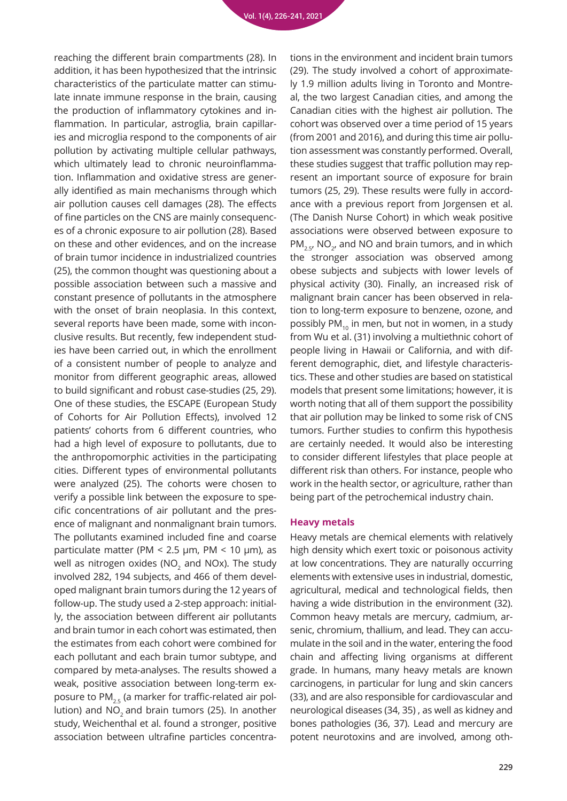reaching the different brain compartments (28). In addition, it has been hypothesized that the intrinsic characteristics of the particulate matter can stimulate innate immune response in the brain, causing the production of inflammatory cytokines and inflammation. In particular, astroglia, brain capillaries and microglia respond to the components of air pollution by activating multiple cellular pathways, which ultimately lead to chronic neuroinflammation. Inflammation and oxidative stress are generally identified as main mechanisms through which air pollution causes cell damages (28). The effects of fine particles on the CNS are mainly consequences of a chronic exposure to air pollution (28). Based on these and other evidences, and on the increase of brain tumor incidence in industrialized countries (25), the common thought was questioning about a possible association between such a massive and constant presence of pollutants in the atmosphere with the onset of brain neoplasia. In this context, several reports have been made, some with inconclusive results. But recently, few independent studies have been carried out, in which the enrollment of a consistent number of people to analyze and monitor from different geographic areas, allowed to build significant and robust case-studies (25, 29). One of these studies, the ESCAPE (European Study of Cohorts for Air Pollution Effects), involved 12 patients' cohorts from 6 different countries, who had a high level of exposure to pollutants, due to the anthropomorphic activities in the participating cities. Different types of environmental pollutants were analyzed (25). The cohorts were chosen to verify a possible link between the exposure to specific concentrations of air pollutant and the presence of malignant and nonmalignant brain tumors. The pollutants examined included fine and coarse particulate matter (PM < 2.5 μm, PM < 10 μm), as well as nitrogen oxides (NO $_{\rm 2}$  and NOx). The study involved 282, 194 subjects, and 466 of them developed malignant brain tumors during the 12 years of follow-up. The study used a 2-step approach: initially, the association between different air pollutants and brain tumor in each cohort was estimated, then the estimates from each cohort were combined for each pollutant and each brain tumor subtype, and compared by meta-analyses. The results showed a weak, positive association between long-term exposure to  $PM_{2.5}$  (a marker for traffic-related air pollution) and  $NO<sub>2</sub>$  and brain tumors (25). In another study, Weichenthal et al. found a stronger, positive association between ultrafine particles concentrations in the environment and incident brain tumors (29). The study involved a cohort of approximately 1.9 million adults living in Toronto and Montreal, the two largest Canadian cities, and among the Canadian cities with the highest air pollution. The cohort was observed over a time period of 15 years (from 2001 and 2016), and during this time air pollution assessment was constantly performed. Overall, these studies suggest that traffic pollution may represent an important source of exposure for brain tumors (25, 29). These results were fully in accordance with a previous report from Jorgensen et al. (The Danish Nurse Cohort) in which weak positive associations were observed between exposure to  $PM_{2.5}$ , NO<sub>2</sub>, and NO and brain tumors, and in which the stronger association was observed among obese subjects and subjects with lower levels of physical activity (30). Finally, an increased risk of malignant brain cancer has been observed in relation to long-term exposure to benzene, ozone, and possibly PM $_{10}$  in men, but not in women, in a study from Wu et al. (31) involving a multiethnic cohort of people living in Hawaii or California, and with different demographic, diet, and lifestyle characteristics. These and other studies are based on statistical models that present some limitations; however, it is worth noting that all of them support the possibility that air pollution may be linked to some risk of CNS tumors. Further studies to confirm this hypothesis are certainly needed. It would also be interesting to consider different lifestyles that place people at different risk than others. For instance, people who work in the health sector, or agriculture, rather than being part of the petrochemical industry chain.

#### **Heavy metals**

Heavy metals are chemical elements with relatively high density which exert toxic or poisonous activity at low concentrations. They are naturally occurring elements with extensive uses in industrial, domestic, agricultural, medical and technological fields, then having a wide distribution in the environment (32). Common heavy metals are mercury, cadmium, arsenic, chromium, thallium, and lead. They can accumulate in the soil and in the water, entering the food chain and affecting living organisms at different grade. In humans, many heavy metals are known carcinogens, in particular for lung and skin cancers (33), and are also responsible for cardiovascular and neurological diseases (34, 35) , as well as kidney and bones pathologies (36, 37). Lead and mercury are potent neurotoxins and are involved, among oth-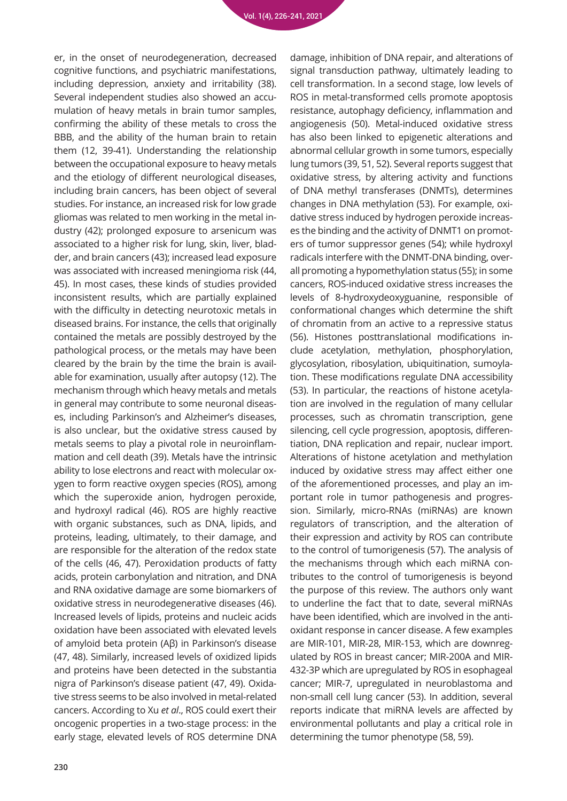er, in the onset of neurodegeneration, decreased cognitive functions, and psychiatric manifestations, including depression, anxiety and irritability (38). Several independent studies also showed an accumulation of heavy metals in brain tumor samples, confirming the ability of these metals to cross the BBB, and the ability of the human brain to retain them (12, 39-41). Understanding the relationship between the occupational exposure to heavy metals and the etiology of different neurological diseases, including brain cancers, has been object of several studies. For instance, an increased risk for low grade gliomas was related to men working in the metal industry (42); prolonged exposure to arsenicum was associated to a higher risk for lung, skin, liver, bladder, and brain cancers (43); increased lead exposure was associated with increased meningioma risk (44, 45). In most cases, these kinds of studies provided inconsistent results, which are partially explained with the difficulty in detecting neurotoxic metals in diseased brains. For instance, the cells that originally contained the metals are possibly destroyed by the pathological process, or the metals may have been cleared by the brain by the time the brain is available for examination, usually after autopsy (12). The mechanism through which heavy metals and metals in general may contribute to some neuronal diseases, including Parkinson's and Alzheimer's diseases, is also unclear, but the oxidative stress caused by metals seems to play a pivotal role in neuroinflammation and cell death (39). Metals have the intrinsic ability to lose electrons and react with molecular oxygen to form reactive oxygen species (ROS), among which the superoxide anion, hydrogen peroxide, and hydroxyl radical (46). ROS are highly reactive with organic substances, such as DNA, lipids, and proteins, leading, ultimately, to their damage, and are responsible for the alteration of the redox state of the cells (46, 47). Peroxidation products of fatty acids, protein carbonylation and nitration, and DNA and RNA oxidative damage are some biomarkers of oxidative stress in neurodegenerative diseases (46). Increased levels of lipids, proteins and nucleic acids oxidation have been associated with elevated levels of amyloid beta protein (Aβ) in Parkinson's disease (47, 48). Similarly, increased levels of oxidized lipids and proteins have been detected in the substantia nigra of Parkinson's disease patient (47, 49). Oxidative stress seems to be also involved in metal-related cancers. According to Xu *et al*., ROS could exert their oncogenic properties in a two-stage process: in the early stage, elevated levels of ROS determine DNA

damage, inhibition of DNA repair, and alterations of signal transduction pathway, ultimately leading to cell transformation. In a second stage, low levels of ROS in metal-transformed cells promote apoptosis resistance, autophagy deficiency, inflammation and angiogenesis (50). Metal-induced oxidative stress has also been linked to epigenetic alterations and abnormal cellular growth in some tumors, especially lung tumors (39, 51, 52). Several reports suggest that oxidative stress, by altering activity and functions of DNA methyl transferases (DNMTs), determines changes in DNA methylation (53). For example, oxidative stress induced by hydrogen peroxide increases the binding and the activity of DNMT1 on promoters of tumor suppressor genes (54); while hydroxyl radicals interfere with the DNMT-DNA binding, overall promoting a hypomethylation status (55); in some cancers, ROS-induced oxidative stress increases the levels of 8-hydroxydeoxyguanine, responsible of conformational changes which determine the shift of chromatin from an active to a repressive status (56). Histones posttranslational modifications include acetylation, methylation, phosphorylation, glycosylation, ribosylation, ubiquitination, sumoylation. These modifications regulate DNA accessibility (53). In particular, the reactions of histone acetylation are involved in the regulation of many cellular processes, such as chromatin transcription, gene silencing, cell cycle progression, apoptosis, differentiation, DNA replication and repair, nuclear import. Alterations of histone acetylation and methylation induced by oxidative stress may affect either one of the aforementioned processes, and play an important role in tumor pathogenesis and progression. Similarly, micro-RNAs (miRNAs) are known regulators of transcription, and the alteration of their expression and activity by ROS can contribute to the control of tumorigenesis (57). The analysis of the mechanisms through which each miRNA contributes to the control of tumorigenesis is beyond the purpose of this review. The authors only want to underline the fact that to date, several miRNAs have been identified, which are involved in the antioxidant response in cancer disease. A few examples are MIR-101, MIR-28, MIR-153, which are downregulated by ROS in breast cancer; MIR-200A and MIR-432-3P which are upregulated by ROS in esophageal cancer; MIR-7, upregulated in neuroblastoma and non-small cell lung cancer (53). In addition, several reports indicate that miRNA levels are affected by environmental pollutants and play a critical role in determining the tumor phenotype (58, 59).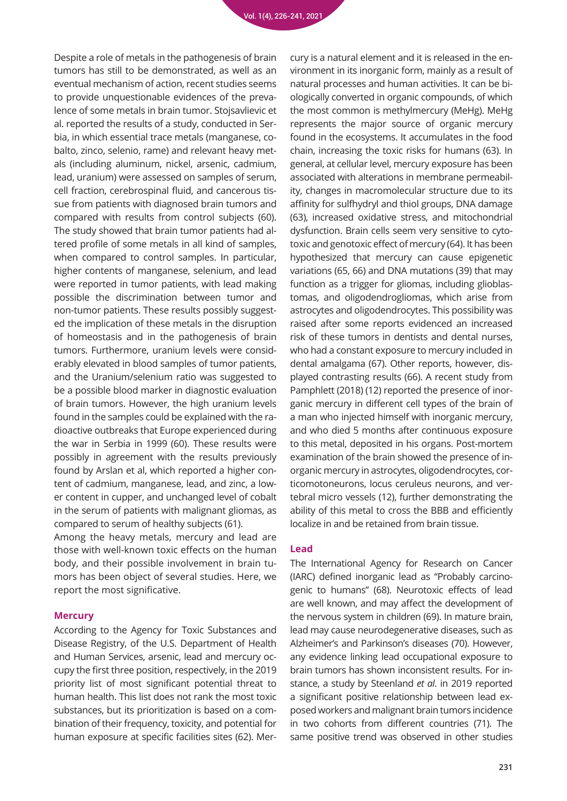Despite a role of metals in the pathogenesis of brain tumors has still to be demonstrated, as well as an eventual mechanism of action, recent studies seems to provide unquestionable evidences of the prevalence of some metals in brain tumor. Stojsavlievic et al. reported the results of a study, conducted in Serbia, in which essential trace metals (manganese, cobalto, zinco, selenio, rame) and relevant heavy metals (including aluminum, nickel, arsenic, cadmium, lead, uranium) were assessed on samples of serum, cell fraction, cerebrospinal fluid, and cancerous tissue from patients with diagnosed brain tumors and compared with results from control subjects (60). The study showed that brain tumor patients had altered profile of some metals in all kind of samples, when compared to control samples. In particular, higher contents of manganese, selenium, and lead were reported in tumor patients, with lead making possible the discrimination between tumor and non-tumor patients. These results possibly suggested the implication of these metals in the disruption of homeostasis and in the pathogenesis of brain tumors. Furthermore, uranium levels were considerably elevated in blood samples of tumor patients, and the Uranium/selenium ratio was suggested to be a possible blood marker in diagnostic evaluation of brain tumors. However, the high uranium levels found in the samples could be explained with the radioactive outbreaks that Europe experienced during the war in Serbia in 1999 (60). These results were possibly in agreement with the results previously found by Arslan et al, which reported a higher content of cadmium, manganese, lead, and zinc, a lower content in cupper, and unchanged level of cobalt in the serum of patients with malignant gliomas, as compared to serum of healthy subjects (61). Among the heavy metals, mercury and lead are

those with well-known toxic effects on the human body, and their possible involvement in brain tumors has been object of several studies. Here, we report the most significative.

#### **Mercury**

According to the Agency for Toxic Substances and Disease Registry, of the U.S. Department of Health and Human Services, arsenic, lead and mercury occupy the first three position, respectively, in the 2019 priority list of most significant potential threat to human health. This list does not rank the most toxic substances, but its prioritization is based on a combination of their frequency, toxicity, and potential for human exposure at specific facilities sites (62). Mer-

cury is a natural element and it is released in the environment in its inorganic form, mainly as a result of natural processes and human activities. It can be biologically converted in organic compounds, of which the most common is methylmercury (MeHg). MeHg represents the major source of organic mercury found in the ecosystems. It accumulates in the food chain, increasing the toxic risks for humans (63). In general, at cellular level, mercury exposure has been associated with alterations in membrane permeability, changes in macromolecular structure due to its affinity for sulfhydryl and thiol groups, DNA damage (63), increased oxidative stress, and mitochondrial dysfunction. Brain cells seem very sensitive to cytotoxic and genotoxic effect of mercury (64). It has been hypothesized that mercury can cause epigenetic variations (65, 66) and DNA mutations (39) that may function as a trigger for gliomas, including glioblastomas, and oligodendrogliomas, which arise from astrocytes and oligodendrocytes. This possibility was raised after some reports evidenced an increased risk of these tumors in dentists and dental nurses, who had a constant exposure to mercury included in dental amalgama (67). Other reports, however, displayed contrasting results (66). A recent study from Pamphlett (2018) (12) reported the presence of inorganic mercury in different cell types of the brain of a man who injected himself with inorganic mercury, and who died 5 months after continuous exposure to this metal, deposited in his organs. Post-mortem examination of the brain showed the presence of inorganic mercury in astrocytes, oligodendrocytes, corticomotoneurons, locus ceruleus neurons, and vertebral micro vessels (12), further demonstrating the ability of this metal to cross the BBB and efficiently localize in and be retained from brain tissue.

#### **Lead**

The International Agency for Research on Cancer (IARC) defined inorganic lead as "Probably carcinogenic to humans" (68). Neurotoxic effects of lead are well known, and may affect the development of the nervous system in children (69). In mature brain, lead may cause neurodegenerative diseases, such as Alzheimer's and Parkinson's diseases (70). However, any evidence linking lead occupational exposure to brain tumors has shown inconsistent results. For instance, a study by Steenland *et al*. in 2019 reported a significant positive relationship between lead exposed workers and malignant brain tumors incidence in two cohorts from different countries (71). The same positive trend was observed in other studies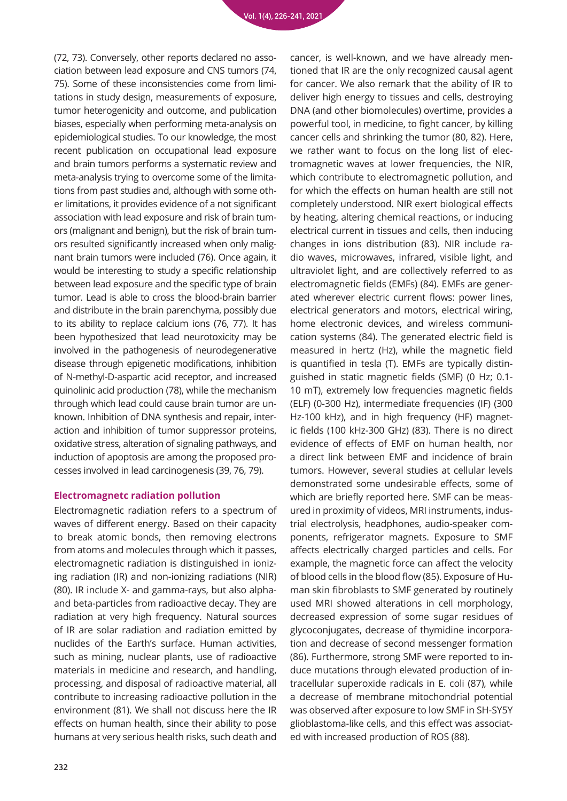(72, 73). Conversely, other reports declared no association between lead exposure and CNS tumors (74, 75). Some of these inconsistencies come from limitations in study design, measurements of exposure, tumor heterogenicity and outcome, and publication biases, especially when performing meta-analysis on epidemiological studies. To our knowledge, the most recent publication on occupational lead exposure and brain tumors performs a systematic review and meta-analysis trying to overcome some of the limitations from past studies and, although with some other limitations, it provides evidence of a not significant association with lead exposure and risk of brain tumors (malignant and benign), but the risk of brain tumors resulted significantly increased when only malignant brain tumors were included (76). Once again, it would be interesting to study a specific relationship between lead exposure and the specific type of brain tumor. Lead is able to cross the blood-brain barrier and distribute in the brain parenchyma, possibly due to its ability to replace calcium ions (76, 77). It has been hypothesized that lead neurotoxicity may be involved in the pathogenesis of neurodegenerative disease through epigenetic modifications, inhibition of N-methyl-D-aspartic acid receptor, and increased quinolinic acid production (78), while the mechanism through which lead could cause brain tumor are unknown. Inhibition of DNA synthesis and repair, interaction and inhibition of tumor suppressor proteins, oxidative stress, alteration of signaling pathways, and induction of apoptosis are among the proposed processes involved in lead carcinogenesis (39, 76, 79).

#### **Electromagnetc radiation pollution**

Electromagnetic radiation refers to a spectrum of waves of different energy. Based on their capacity to break atomic bonds, then removing electrons from atoms and molecules through which it passes, electromagnetic radiation is distinguished in ionizing radiation (IR) and non-ionizing radiations (NIR) (80). IR include X- and gamma-rays, but also alphaand beta-particles from radioactive decay. They are radiation at very high frequency. Natural sources of IR are solar radiation and radiation emitted by nuclides of the Earth's surface. Human activities, such as mining, nuclear plants, use of radioactive materials in medicine and research, and handling, processing, and disposal of radioactive material, all contribute to increasing radioactive pollution in the environment (81). We shall not discuss here the IR effects on human health, since their ability to pose humans at very serious health risks, such death and

cancer, is well-known, and we have already mentioned that IR are the only recognized causal agent for cancer. We also remark that the ability of IR to deliver high energy to tissues and cells, destroying DNA (and other biomolecules) overtime, provides a powerful tool, in medicine, to fight cancer, by killing cancer cells and shrinking the tumor (80, 82). Here, we rather want to focus on the long list of electromagnetic waves at lower frequencies, the NIR, which contribute to electromagnetic pollution, and for which the effects on human health are still not completely understood. NIR exert biological effects by heating, altering chemical reactions, or inducing electrical current in tissues and cells, then inducing changes in ions distribution (83). NIR include radio waves, microwaves, infrared, visible light, and ultraviolet light, and are collectively referred to as electromagnetic fields (EMFs) (84). EMFs are generated wherever electric current flows: power lines, electrical generators and motors, electrical wiring, home electronic devices, and wireless communication systems (84). The generated electric field is measured in hertz (Hz), while the magnetic field is quantified in tesla (T). EMFs are typically distinguished in static magnetic fields (SMF) (0 Hz; 0.1- 10 mT), extremely low frequencies magnetic fields (ELF) (0-300 Hz), intermediate frequencies (IF) (300 Hz-100 kHz), and in high frequency (HF) magnetic fields (100 kHz-300 GHz) (83). There is no direct evidence of effects of EMF on human health, nor a direct link between EMF and incidence of brain tumors. However, several studies at cellular levels demonstrated some undesirable effects, some of which are briefly reported here. SMF can be measured in proximity of videos, MRI instruments, industrial electrolysis, headphones, audio-speaker components, refrigerator magnets. Exposure to SMF affects electrically charged particles and cells. For example, the magnetic force can affect the velocity of blood cells in the blood flow (85). Exposure of Human skin fibroblasts to SMF generated by routinely used MRI showed alterations in cell morphology, decreased expression of some sugar residues of glycoconjugates, decrease of thymidine incorporation and decrease of second messenger formation (86). Furthermore, strong SMF were reported to induce mutations through elevated production of intracellular superoxide radicals in E. coli (87), while a decrease of membrane mitochondrial potential was observed after exposure to low SMF in SH-SY5Y glioblastoma-like cells, and this effect was associated with increased production of ROS (88).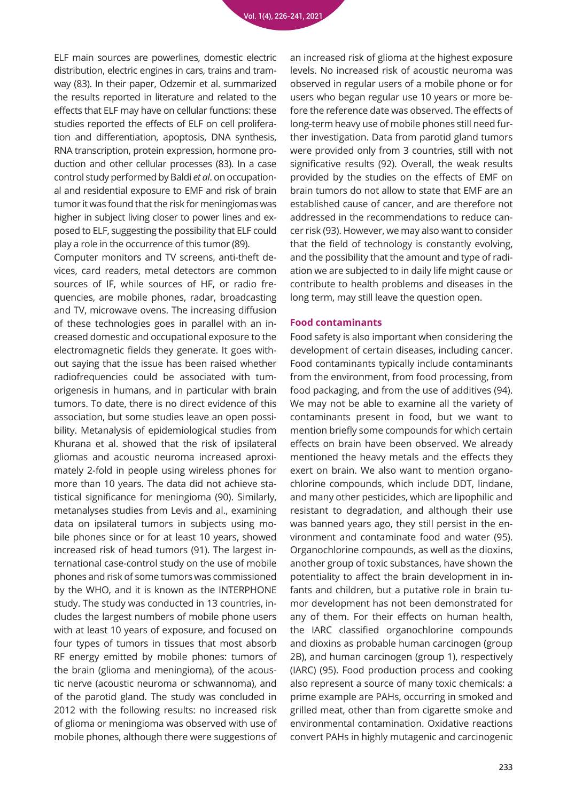ELF main sources are powerlines, domestic electric distribution, electric engines in cars, trains and tramway (83). In their paper, Odzemir et al. summarized the results reported in literature and related to the effects that ELF may have on cellular functions: these studies reported the effects of ELF on cell proliferation and differentiation, apoptosis, DNA synthesis, RNA transcription, protein expression, hormone production and other cellular processes (83). In a case control study performed by Baldi *et al*. on occupational and residential exposure to EMF and risk of brain tumor it was found that the risk for meningiomas was higher in subject living closer to power lines and exposed to ELF, suggesting the possibility that ELF could play a role in the occurrence of this tumor (89).

Computer monitors and TV screens, anti-theft devices, card readers, metal detectors are common sources of IF, while sources of HF, or radio frequencies, are mobile phones, radar, broadcasting and TV, microwave ovens. The increasing diffusion of these technologies goes in parallel with an increased domestic and occupational exposure to the electromagnetic fields they generate. It goes without saying that the issue has been raised whether radiofrequencies could be associated with tumorigenesis in humans, and in particular with brain tumors. To date, there is no direct evidence of this association, but some studies leave an open possibility. Metanalysis of epidemiological studies from Khurana et al. showed that the risk of ipsilateral gliomas and acoustic neuroma increased aproximately 2-fold in people using wireless phones for more than 10 years. The data did not achieve statistical significance for meningioma (90). Similarly, metanalyses studies from Levis and al., examining data on ipsilateral tumors in subjects using mobile phones since or for at least 10 years, showed increased risk of head tumors (91). The largest international case-control study on the use of mobile phones and risk of some tumors was commissioned by the WHO, and it is known as the INTERPHONE study. The study was conducted in 13 countries, includes the largest numbers of mobile phone users with at least 10 years of exposure, and focused on four types of tumors in tissues that most absorb RF energy emitted by mobile phones: tumors of the brain (glioma and meningioma), of the acoustic nerve (acoustic neuroma or schwannoma), and of the parotid gland. The study was concluded in 2012 with the following results: no increased risk of glioma or meningioma was observed with use of mobile phones, although there were suggestions of

an increased risk of glioma at the highest exposure levels. No increased risk of acoustic neuroma was observed in regular users of a mobile phone or for users who began regular use 10 years or more before the reference date was observed. The effects of long-term heavy use of mobile phones still need further investigation. Data from parotid gland tumors were provided only from 3 countries, still with not significative results (92). Overall, the weak results provided by the studies on the effects of EMF on brain tumors do not allow to state that EMF are an established cause of cancer, and are therefore not addressed in the recommendations to reduce cancer risk (93). However, we may also want to consider that the field of technology is constantly evolving, and the possibility that the amount and type of radiation we are subjected to in daily life might cause or contribute to health problems and diseases in the long term, may still leave the question open.

#### **Food contaminants**

Food safety is also important when considering the development of certain diseases, including cancer. Food contaminants typically include contaminants from the environment, from food processing, from food packaging, and from the use of additives (94). We may not be able to examine all the variety of contaminants present in food, but we want to mention briefly some compounds for which certain effects on brain have been observed. We already mentioned the heavy metals and the effects they exert on brain. We also want to mention organochlorine compounds, which include DDT, lindane, and many other pesticides, which are lipophilic and resistant to degradation, and although their use was banned years ago, they still persist in the environment and contaminate food and water (95). Organochlorine compounds, as well as the dioxins, another group of toxic substances, have shown the potentiality to affect the brain development in infants and children, but a putative role in brain tumor development has not been demonstrated for any of them. For their effects on human health, the IARC classified organochlorine compounds and dioxins as probable human carcinogen (group 2B), and human carcinogen (group 1), respectively (IARC) (95). Food production process and cooking also represent a source of many toxic chemicals: a prime example are PAHs, occurring in smoked and grilled meat, other than from cigarette smoke and environmental contamination. Oxidative reactions convert PAHs in highly mutagenic and carcinogenic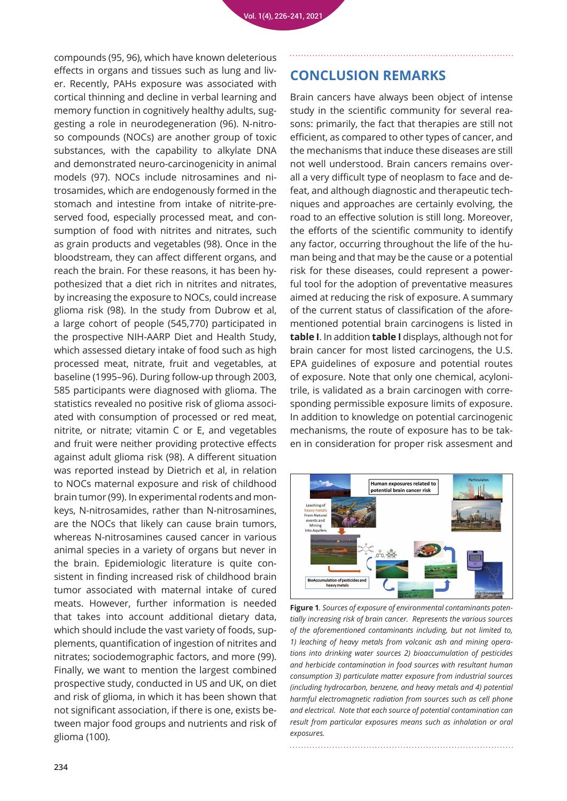compounds (95, 96), which have known deleterious effects in organs and tissues such as lung and liver. Recently, PAHs exposure was associated with cortical thinning and decline in verbal learning and memory function in cognitively healthy adults, suggesting a role in neurodegeneration (96). N-nitroso compounds (NOCs) are another group of toxic substances, with the capability to alkylate DNA and demonstrated neuro-carcinogenicity in animal models (97). NOCs include nitrosamines and nitrosamides, which are endogenously formed in the stomach and intestine from intake of nitrite-preserved food, especially processed meat, and consumption of food with nitrites and nitrates, such as grain products and vegetables (98). Once in the bloodstream, they can affect different organs, and reach the brain. For these reasons, it has been hypothesized that a diet rich in nitrites and nitrates, by increasing the exposure to NOCs, could increase glioma risk (98). In the study from Dubrow et al, a large cohort of people (545,770) participated in the prospective NIH-AARP Diet and Health Study, which assessed dietary intake of food such as high processed meat, nitrate, fruit and vegetables, at baseline (1995–96). During follow-up through 2003, 585 participants were diagnosed with glioma. The statistics revealed no positive risk of glioma associated with consumption of processed or red meat, nitrite, or nitrate; vitamin C or E, and vegetables and fruit were neither providing protective effects against adult glioma risk (98). A different situation was reported instead by Dietrich et al, in relation to NOCs maternal exposure and risk of childhood brain tumor (99). In experimental rodents and monkeys, N-nitrosamides, rather than N-nitrosamines, are the NOCs that likely can cause brain tumors, whereas N-nitrosamines caused cancer in various animal species in a variety of organs but never in the brain. Epidemiologic literature is quite consistent in finding increased risk of childhood brain tumor associated with maternal intake of cured meats. However, further information is needed that takes into account additional dietary data, which should include the vast variety of foods, supplements, quantification of ingestion of nitrites and nitrates; sociodemographic factors, and more (99). Finally, we want to mention the largest combined prospective study, conducted in US and UK, on diet and risk of glioma, in which it has been shown that not significant association, if there is one, exists between major food groups and nutrients and risk of glioma (100).

### **CONCLUSION REMARKS**

Brain cancers have always been object of intense study in the scientific community for several reasons: primarily, the fact that therapies are still not efficient, as compared to other types of cancer, and the mechanisms that induce these diseases are still not well understood. Brain cancers remains overall a very difficult type of neoplasm to face and defeat, and although diagnostic and therapeutic techniques and approaches are certainly evolving, the road to an effective solution is still long. Moreover, the efforts of the scientific community to identify any factor, occurring throughout the life of the human being and that may be the cause or a potential risk for these diseases, could represent a powerful tool for the adoption of preventative measures aimed at reducing the risk of exposure. A summary of the current status of classification of the aforementioned potential brain carcinogens is listed in **table I**. In addition **table I** displays, although not for brain cancer for most listed carcinogens, the U.S. EPA guidelines of exposure and potential routes of exposure. Note that only one chemical, acylonitrile, is validated as a brain carcinogen with corresponding permissible exposure limits of exposure. In addition to knowledge on potential carcinogenic mechanisms, the route of exposure has to be taken in consideration for proper risk assesment and



**Figure 1***. Sources of exposure of environmental contaminants potentially increasing risk of brain cancer. Represents the various sources of the aforementioned contaminants including, but not limited to, 1) leaching of heavy metals from volcanic ash and mining operations into drinking water sources 2) bioaccumulation of pesticides and herbicide contamination in food sources with resultant human consumption 3) particulate matter exposure from industrial sources (including hydrocarbon, benzene, and heavy metals and 4) potential harmful electromagnetic radiation from sources such as cell phone and electrical. Note that each source of potential contamination can result from particular exposures means such as inhalation or oral exposures.*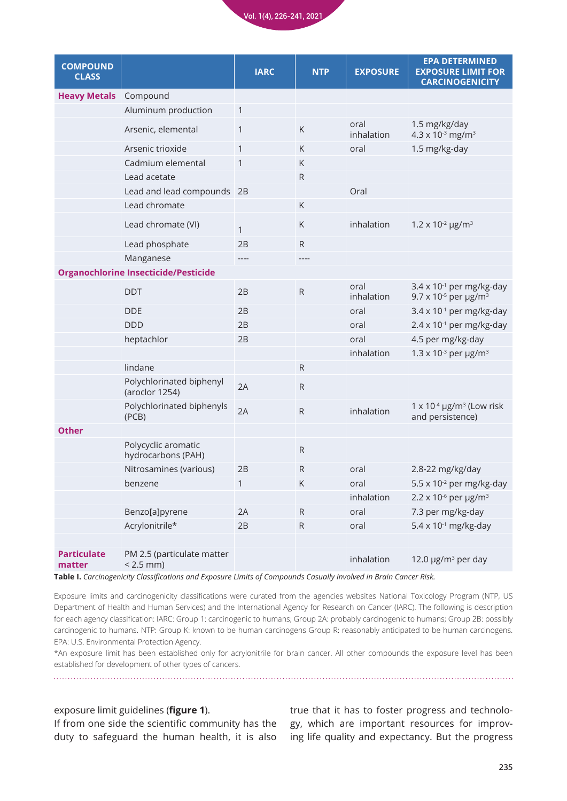

| <b>COMPOUND</b><br><b>CLASS</b>             |                                            | <b>IARC</b>  | <b>NTP</b>   | <b>EXPOSURE</b>    | <b>EPA DETERMINED</b><br><b>EXPOSURE LIMIT FOR</b><br><b>CARCINOGENICITY</b>            |
|---------------------------------------------|--------------------------------------------|--------------|--------------|--------------------|-----------------------------------------------------------------------------------------|
| <b>Heavy Metals</b>                         | Compound                                   |              |              |                    |                                                                                         |
|                                             | Aluminum production                        | $\mathbf{1}$ |              |                    |                                                                                         |
|                                             | Arsenic, elemental                         | $\mathbf{1}$ | $\mathsf K$  | oral<br>inhalation | 1.5 mg/kg/day<br>$4.3 \times 10^{-3}$ mg/m <sup>3</sup>                                 |
|                                             | Arsenic trioxide                           | $\mathbf{1}$ | K            | oral               | 1.5 mg/kg-day                                                                           |
|                                             | Cadmium elemental                          | $\mathbf{1}$ | K            |                    |                                                                                         |
|                                             | Lead acetate                               |              | $\mathsf{R}$ |                    |                                                                                         |
|                                             | Lead and lead compounds 2B                 |              |              | Oral               |                                                                                         |
|                                             | Lead chromate                              |              | К            |                    |                                                                                         |
|                                             | Lead chromate (VI)                         | $\mathbf{1}$ | K            | inhalation         | $1.2 \times 10^{-2}$ µg/m <sup>3</sup>                                                  |
|                                             | Lead phosphate                             | 2B           | ${\sf R}$    |                    |                                                                                         |
|                                             | Manganese                                  |              | ----         |                    |                                                                                         |
| <b>Organochlorine Insecticide/Pesticide</b> |                                            |              |              |                    |                                                                                         |
|                                             | <b>DDT</b>                                 | 2B           | ${\sf R}$    | oral<br>inhalation | $3.4 \times 10^{-1}$ per mg/kg-day<br>9.7 x 10 <sup>-5</sup> per $\mu$ g/m <sup>3</sup> |
|                                             | <b>DDE</b>                                 | 2B           |              | oral               | $3.4 \times 10^{-1}$ per mg/kg-day                                                      |
|                                             | <b>DDD</b>                                 | 2B           |              | oral               | $2.4 \times 10^{-1}$ per mg/kg-day                                                      |
|                                             | heptachlor                                 | 2B           |              | oral               | 4.5 per mg/kg-day                                                                       |
|                                             |                                            |              |              | inhalation         | 1.3 x 10 $3$ per $\mu$ g/m $3$                                                          |
|                                             | lindane                                    |              | $\mathsf{R}$ |                    |                                                                                         |
|                                             | Polychlorinated biphenyl<br>(aroclor 1254) | 2A           | $\mathsf{R}$ |                    |                                                                                         |
|                                             | Polychlorinated biphenyls<br>(PCB)         | 2A           | ${\sf R}$    | inhalation         | $1 \times 10^{-4}$ µg/m <sup>3</sup> (Low risk<br>and persistence)                      |
| <b>Other</b>                                |                                            |              |              |                    |                                                                                         |
|                                             | Polycyclic aromatic<br>hydrocarbons (PAH)  |              | $\mathsf{R}$ |                    |                                                                                         |
|                                             | Nitrosamines (various)                     | 2B           | $\mathsf{R}$ | oral               | 2.8-22 mg/kg/day                                                                        |
|                                             | benzene                                    | $\mathbf{1}$ | К            | oral               | 5.5 x 10 <sup>-2</sup> per mg/kg-day                                                    |
|                                             |                                            |              |              | inhalation         | 2.2 x 10 $\rm{^6}$ per µg/m <sup>3</sup>                                                |
|                                             | Benzo[a]pyrene                             | 2A           | ${\sf R}$    | oral               | 7.3 per mg/kg-day                                                                       |
|                                             | Acrylonitrile*                             | 2B           | ${\sf R}$    | oral               | $5.4 \times 10^{-1}$ mg/kg-day                                                          |
|                                             |                                            |              |              |                    |                                                                                         |
| <b>Particulate</b><br>matter                | PM 2.5 (particulate matter<br>$< 2.5$ mm)  |              |              | inhalation         | 12.0 $\mu$ g/m <sup>3</sup> per day                                                     |

**Table I.** *Carcinogenicity Classifications and Exposure Limits of Compounds Casually Involved in Brain Cancer Risk.*

Exposure limits and carcinogenicity classifications were curated from the agencies websites National Toxicology Program (NTP, US Department of Health and Human Services) and the International Agency for Research on Cancer (IARC). The following is description for each agency classification: IARC: Group 1: carcinogenic to humans; Group 2A: probably carcinogenic to humans; Group 2B: possibly carcinogenic to humans. NTP: Group K: known to be human carcinogens Group R: reasonably anticipated to be human carcinogens. EPA: U.S. Environmental Protection Agency.

\*An exposure limit has been established only for acrylonitrile for brain cancer. All other compounds the exposure level has been established for development of other types of cancers.

#### exposure limit guidelines (**figure 1**).

If from one side the scientific community has the duty to safeguard the human health, it is also

true that it has to foster progress and technology, which are important resources for improving life quality and expectancy. But the progress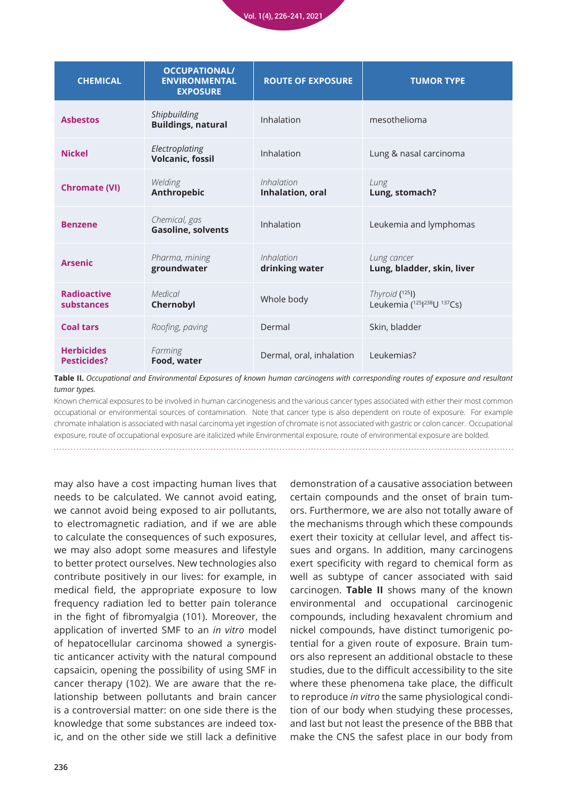

| <b>CHEMICAL</b>                         | <b>OCCUPATIONAL/</b><br><b>ENVIRONMENTAL</b><br><b>EXPOSURE</b> | <b>ROUTE OF EXPOSURE</b>       | <b>TUMOR TYPE</b>                                |  |
|-----------------------------------------|-----------------------------------------------------------------|--------------------------------|--------------------------------------------------|--|
| <b>Asbestos</b>                         | Shipbuilding<br><b>Buildings, natural</b>                       | Inhalation                     | mesothelioma                                     |  |
| <b>Nickel</b>                           | Electroplating<br><b>Volcanic, fossil</b>                       | Inhalation                     | Lung & nasal carcinoma                           |  |
| <b>Chromate (VI)</b>                    | Welding<br>Anthropebic                                          | Inhalation<br>Inhalation, oral | Lung<br>Lung, stomach?                           |  |
| <b>Benzene</b>                          | Chemical, gas<br><b>Gasoline, solvents</b>                      | Inhalation                     | Leukemia and lymphomas                           |  |
| <b>Arsenic</b>                          | Pharma, mining<br>groundwater                                   | Inhalation<br>drinking water   | Lung cancer<br>Lung, bladder, skin, liver        |  |
| <b>Radioactive</b><br>substances        | Medical<br>Chernobyl                                            | Whole body                     | Thyroid $(^{125}I)$<br>Leukemia (125 238U 137Cs) |  |
| <b>Coal tars</b>                        | Roofing, paving                                                 | Dermal                         | Skin, bladder                                    |  |
| <b>Herbicides</b><br><b>Pesticides?</b> | Farming<br>Food, water                                          | Dermal, oral, inhalation       | Leukemias?                                       |  |

**Table II.** *Occupational and Environmental Exposures of known human carcinogens with corresponding routes of exposure and resultant tumor types.*

Known chemical exposures to be involved in human carcinogenesis and the various cancer types associated with either their most common occupational or environmental sources of contamination. Note that cancer type is also dependent on route of exposure. For example chromate inhalation is associated with nasal carcinoma yet ingestion of chromate is not associated with gastric or colon cancer. Occupational exposure, route of occupational exposure are italicized while Environmental exposure, route of environmental exposure are bolded.

may also have a cost impacting human lives that needs to be calculated. We cannot avoid eating, we cannot avoid being exposed to air pollutants, to electromagnetic radiation, and if we are able to calculate the consequences of such exposures, we may also adopt some measures and lifestyle to better protect ourselves. New technologies also contribute positively in our lives: for example, in medical field, the appropriate exposure to low frequency radiation led to better pain tolerance in the fight of fibromyalgia (101). Moreover, the application of inverted SMF to an *in vitro* model of hepatocellular carcinoma showed a synergistic anticancer activity with the natural compound capsaicin, opening the possibility of using SMF in cancer therapy (102). We are aware that the relationship between pollutants and brain cancer is a controversial matter: on one side there is the knowledge that some substances are indeed toxic, and on the other side we still lack a definitive

demonstration of a causative association between certain compounds and the onset of brain tumors. Furthermore, we are also not totally aware of the mechanisms through which these compounds exert their toxicity at cellular level, and affect tissues and organs. In addition, many carcinogens exert specificity with regard to chemical form as well as subtype of cancer associated with said carcinogen. **Table II** shows many of the known environmental and occupational carcinogenic compounds, including hexavalent chromium and nickel compounds, have distinct tumorigenic potential for a given route of exposure. Brain tumors also represent an additional obstacle to these studies, due to the difficult accessibility to the site where these phenomena take place, the difficult to reproduce *in vitro* the same physiological condition of our body when studying these processes, and last but not least the presence of the BBB that make the CNS the safest place in our body from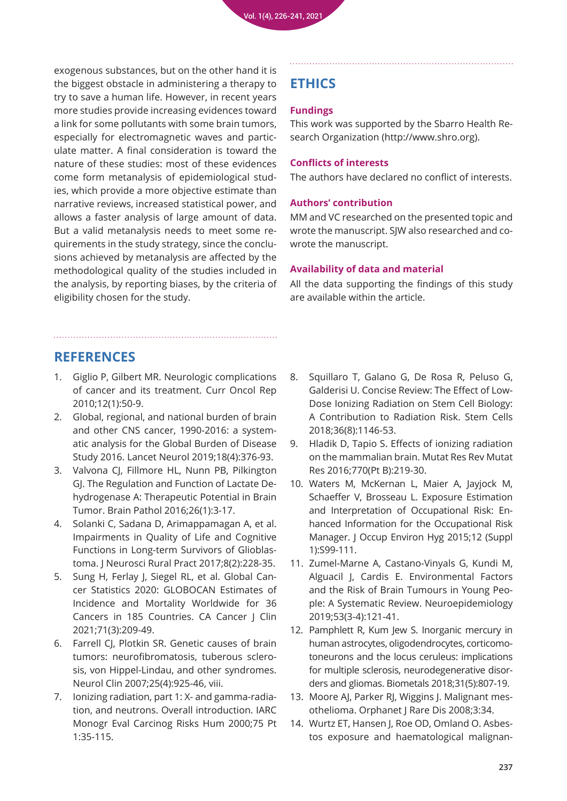exogenous substances, but on the other hand it is the biggest obstacle in administering a therapy to try to save a human life. However, in recent years more studies provide increasing evidences toward a link for some pollutants with some brain tumors, especially for electromagnetic waves and particulate matter. A final consideration is toward the nature of these studies: most of these evidences come form metanalysis of epidemiological studies, which provide a more objective estimate than narrative reviews, increased statistical power, and allows a faster analysis of large amount of data. But a valid metanalysis needs to meet some requirements in the study strategy, since the conclusions achieved by metanalysis are affected by the methodological quality of the studies included in the analysis, by reporting biases, by the criteria of eligibility chosen for the study.

# **ETHICS**

### **Fundings**

This work was supported by the Sbarro Health Research Organization (http://www.shro.org).

### **Conflicts of interests**

The authors have declared no conflict of interests.

### **Authors' contribution**

MM and VC researched on the presented topic and wrote the manuscript. SJW also researched and cowrote the manuscript.

### **Availability of data and material**

All the data supporting the findings of this study are available within the article.

# **REFERENCES**

- 1. [Giglio P, Gilbert MR. Neurologic complications](https://pubmed.ncbi.nlm.nih.gov/20425608/)  of cancer and its treatment. Curr Oncol Rep 2010;12(1):50-9.
- 2. [Global, regional, and national burden of brain](https://pubmed.ncbi.nlm.nih.gov/30797715/)  and other CNS cancer, 1990-2016: a systematic analysis for the Global Burden of Disease Study 2016. Lancet Neurol 2019;18(4):376-93.
- 3. [Valvona CJ, Fillmore HL, Nunn PB, Pilkington](https://pubmed.ncbi.nlm.nih.gov/26269128/)  GJ. The Regulation and Function of Lactate Dehydrogenase A: Therapeutic Potential in Brain Tumor. Brain Pathol 2016;26(1):3-17.
- 4. [Solanki C, Sadana D, Arimappamagan A, et al.](https://pubmed.ncbi.nlm.nih.gov/28479798/)  Impairments in Quality of Life and Cognitive Functions in Long-term Survivors of Glioblastoma. J Neurosci Rural Pract 2017;8(2):228-35.
- 5. Sung H, Ferlay J, Siegel RL, et al. Global Can[cer Statistics 2020: GLOBOCAN Estimates of](https://pubmed.ncbi.nlm.nih.gov/33538338/)  Incidence and Mortality Worldwide for 36 Cancers in 185 Countries. CA Cancer J Clin 2021;71(3):209-49.
- 6. [Farrell CJ, Plotkin SR. Genetic causes of brain](https://pubmed.ncbi.nlm.nih.gov/17964021/)  tumors: neurofibromatosis, tuberous sclerosis, von Hippel-Lindau, and other syndromes. Neurol Clin 2007;25(4):925-46, viii.
- 7. Ionizing radiation, part 1: X- and gamma-radia[tion, and neutrons. Overall introduction. IARC](https://pubmed.ncbi.nlm.nih.gov/10932818/)  Monogr Eval Carcinog Risks Hum 2000;75 Pt 1:35-115.
- 8. [Squillaro T, Galano G, De Rosa R, Peluso G,](https://pubmed.ncbi.nlm.nih.gov/29664142/)  Galderisi U. Concise Review: The Effect of Low-Dose Ionizing Radiation on Stem Cell Biology: A Contribution to Radiation Risk. Stem Cells 2018;36(8):1146-53.
- 9. [Hladik D, Tapio S. Effects of ionizing radiation](https://pubmed.ncbi.nlm.nih.gov/27919332/)  on the mammalian brain. Mutat Res Rev Mutat Res 2016;770(Pt B):219-30.
- 10. [Waters M, McKernan L, Maier A, Jayjock M,](https://pubmed.ncbi.nlm.nih.gov/26302336/)  Schaeffer V, Brosseau L. Exposure Estimation and Interpretation of Occupational Risk: Enhanced Information for the Occupational Risk Manager. J Occup Environ Hyg 2015;12 (Suppl 1):S99-111.
- 11. [Zumel-Marne A, Castano-Vinyals G, Kundi M,](https://pubmed.ncbi.nlm.nih.gov/31167200/)  Alguacil J, Cardis E. Environmental Factors and the Risk of Brain Tumours in Young People: A Systematic Review. Neuroepidemiology 2019;53(3-4):121-41.
- 12. [Pamphlett R, Kum Jew S. Inorganic mercury in](https://pubmed.ncbi.nlm.nih.gov/29959651/)  human astrocytes, oligodendrocytes, corticomotoneurons and the locus ceruleus: implications for multiple sclerosis, neurodegenerative disorders and gliomas. Biometals 2018;31(5):807-19.
- 13. [Moore AJ, Parker RJ, Wiggins J. Malignant mes](https://pubmed.ncbi.nlm.nih.gov/19099560/)othelioma. Orphanet J Rare Dis 2008;3:34.
- 14. [Wurtz ET, Hansen J, Roe OD, Omland O. Asbes](https://pubmed.ncbi.nlm.nih.gov/32040805/)tos exposure and haematological malignan-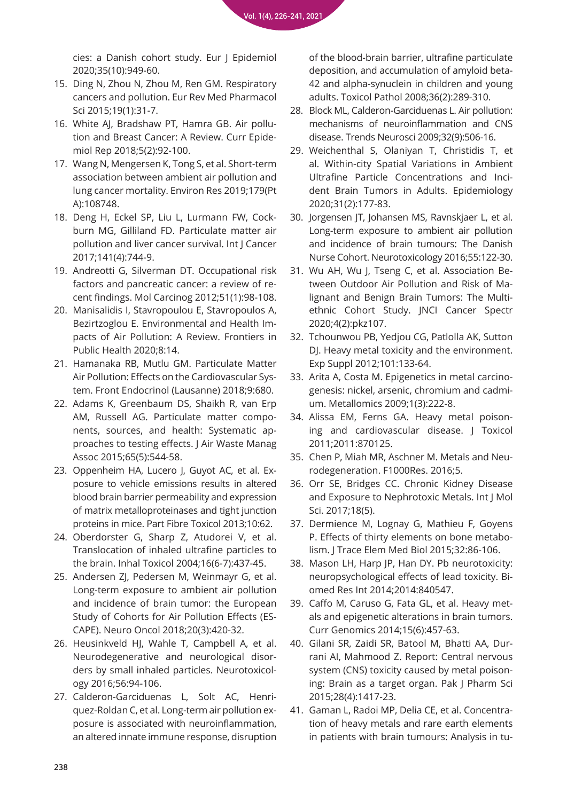cies: a Danish cohort study. Eur J Epidemiol 2020;35(10):949-60.

- 15. [Ding N, Zhou N, Zhou M, Ren GM. Respiratory](https://pubmed.ncbi.nlm.nih.gov/25635972/)  cancers and pollution. Eur Rev Med Pharmacol Sci 2015;19(1):31-7.
- 16. [White AJ, Bradshaw PT, Hamra GB. Air pollu](https://pubmed.ncbi.nlm.nih.gov/30271702/)tion and Breast Cancer: A Review. Curr Epidemiol Rep 2018;5(2):92-100.
- 17. [Wang N, Mengersen K, Tong S, et al. Short-term](https://pubmed.ncbi.nlm.nih.gov/31561053/)  association between ambient air pollution and lung cancer mortality. Environ Res 2019;179(Pt A):108748.
- 18. Deng H, Eckel SP, Liu L, Lurmann FW, Cock[burn MG, Gilliland FD. Particulate matter air](https://pubmed.ncbi.nlm.nih.gov/28589567/)  pollution and liver cancer survival. Int J Cancer 2017;141(4):744-9.
- 19. [Andreotti G, Silverman DT. Occupational risk](https://pubmed.ncbi.nlm.nih.gov/22162234/)  factors and pancreatic cancer: a review of recent findings. Mol Carcinog 2012;51(1):98-108.
- 20. [Manisalidis I, Stavropoulou E, Stavropoulos A,](https://pubmed.ncbi.nlm.nih.gov/32154200/)  Bezirtzoglou E. Environmental and Health Impacts of Air Pollution: A Review. Frontiers in Public Health 2020;8:14.
- 21. [Hamanaka RB, Mutlu GM. Particulate Matter](https://pubmed.ncbi.nlm.nih.gov/30505291/)  Air Pollution: Effects on the Cardiovascular System. Front Endocrinol (Lausanne) 2018;9:680.
- 22. [Adams K, Greenbaum DS, Shaikh R, van Erp](https://pubmed.ncbi.nlm.nih.gov/25947313/)  AM, Russell AG. Particulate matter components, sources, and health: Systematic approaches to testing effects. J Air Waste Manag Assoc 2015;65(5):544-58.
- 23. Oppenheim HA, Lucero J, Guyot AC, et al. Ex[posure to vehicle emissions results in altered](https://pubmed.ncbi.nlm.nih.gov/24344990/)  blood brain barrier permeability and expression of matrix metalloproteinases and tight junction proteins in mice. Part Fibre Toxicol 2013;10:62.
- 24. [Oberdorster G, Sharp Z, Atudorei V, et al.](https://pubmed.ncbi.nlm.nih.gov/15204759/)  Translocation of inhaled ultrafine particles to the brain. Inhal Toxicol 2004;16(6-7):437-45.
- 25. [Andersen ZJ, Pedersen M, Weinmayr G, et al.](https://pubmed.ncbi.nlm.nih.gov/29016987/)  Long-term exposure to ambient air pollution and incidence of brain tumor: the European Study of Cohorts for Air Pollution Effects (ES-CAPE). Neuro Oncol 2018;20(3):420-32.
- 26. [Heusinkveld HJ, Wahle T, Campbell A, et al.](https://pubmed.ncbi.nlm.nih.gov/27448464/)  Neurodegenerative and neurological disorders by small inhaled particles. Neurotoxicology 2016;56:94-106.
- 27. Calderon-Garciduenas L, Solt AC, Henriquez-Roldan C, et al. Long-term air pollution ex[posure is associated with neuroinflammation,](https://pubmed.ncbi.nlm.nih.gov/18349428/)  an altered innate immune response, disruption

[of the blood-brain barrier, ultrafine particulate](https://pubmed.ncbi.nlm.nih.gov/18349428/)  deposition, and accumulation of amyloid beta-42 and alpha-synuclein in children and young adults. Toxicol Pathol 2008;36(2):289-310.

- 28. [Block ML, Calderon-Garciduenas L. Air pollution:](https://pubmed.ncbi.nlm.nih.gov/19716187/)  mechanisms of neuroinflammation and CNS disease. Trends Neurosci 2009;32(9):506-16.
- 29. [Weichenthal S, Olaniyan T, Christidis T, et](https://pubmed.ncbi.nlm.nih.gov/31714401/)  al. Within-city Spatial Variations in Ambient Ultrafine Particle Concentrations and Incident Brain Tumors in Adults. Epidemiology 2020;31(2):177-83.
- 30. [Jorgensen JT, Johansen MS, Ravnskjaer L, et al.](https://pubmed.ncbi.nlm.nih.gov/27265017/)  Long-term exposure to ambient air pollution and incidence of brain tumours: The Danish Nurse Cohort. Neurotoxicology 2016;55:122-30.
- 31. Wu AH, Wu J, Tseng C, et al. Association Between Outdoor Air Pollution and Risk of Malignant and Benign Brain Tumors: The Multi[ethnic Cohort Study. JNCI Cancer Spectr](https://pubmed.ncbi.nlm.nih.gov/32211584/)  2020;4(2):pkz107.
- 32. [Tchounwou PB, Yedjou CG, Patlolla AK, Sutton](https://pubmed.ncbi.nlm.nih.gov/22945569/)  DJ. Heavy metal toxicity and the environment. Exp Suppl 2012;101:133-64.
- 33. [Arita A, Costa M. Epigenetics in metal carcino](https://pubmed.ncbi.nlm.nih.gov/20461219/)genesis: nickel, arsenic, chromium and cadmium. Metallomics 2009;1(3):222-8.
- 34. Alissa EM, Ferns GA. Heavy metal poisoning and cardiovascular disease. J Toxicol 2011;2011:870125.
- 35. [Chen P, Miah MR, Aschner M. Metals and Neu](https://pubmed.ncbi.nlm.nih.gov/27006759/)rodegeneration. F1000Res. 2016;5.
- 36. [Orr SE, Bridges CC. Chronic Kidney Disease](https://pubmed.ncbi.nlm.nih.gov/28498320/)  and Exposure to Nephrotoxic Metals. Int J Mol Sci. 2017;18(5).
- 37. [Dermience M, Lognay G, Mathieu F, Goyens](https://pubmed.ncbi.nlm.nih.gov/26302917/)  P. Effects of thirty elements on bone metabolism. J Trace Elem Med Biol 2015;32:86-106.
- 38. [Mason LH, Harp JP, Han DY. Pb neurotoxicity:](https://pubmed.ncbi.nlm.nih.gov/24516855/)  neuropsychological effects of lead toxicity. Biomed Res Int 2014;2014:840547.
- 39. Caffo M, Caruso G, Fata GL, et al. Heavy met[als and epigenetic alterations in brain tumors.](https://pubmed.ncbi.nlm.nih.gov/25646073/)  Curr Genomics 2014;15(6):457-63.
- 40. Gilani SR, Zaidi SR, Batool M, Bhatti AA, Dur[rani AI, Mahmood Z. Report: Central nervous](https://pubmed.ncbi.nlm.nih.gov/26142507/)  system (CNS) toxicity caused by metal poisoning: Brain as a target organ. Pak J Pharm Sci 2015;28(4):1417-23.
- 41. Gaman L, Radoi MP, Delia CE, et al. Concentra[tion of heavy metals and rare earth elements](https://pubmed.ncbi.nlm.nih.gov/31674203/)  in patients with brain tumours: Analysis in tu-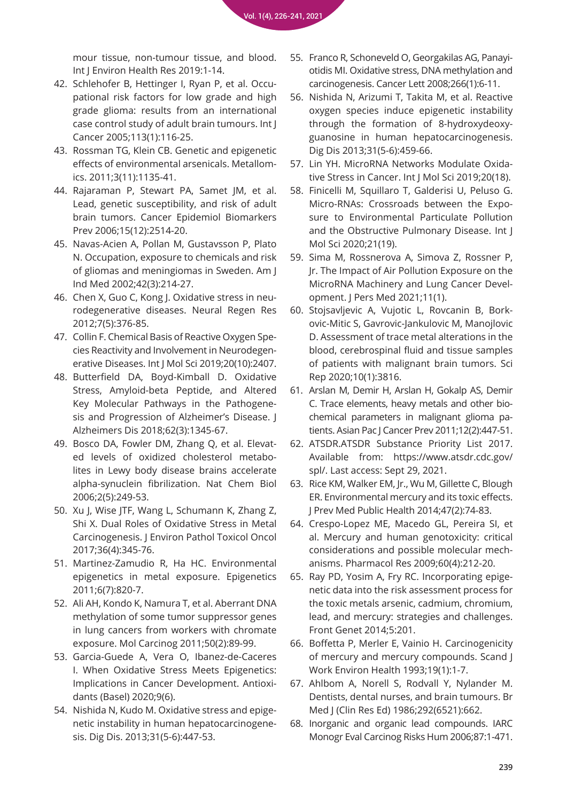[mour tissue, non-tumour tissue, and blood.](https://pubmed.ncbi.nlm.nih.gov/31674203/)  Int J Environ Health Res 2019:1-14.

- 42. Schlehofer B, Hettinger I, Ryan P, et al. Occu[pational risk factors for low grade and high](https://pubmed.ncbi.nlm.nih.gov/15386358/)  grade glioma: results from an international case control study of adult brain tumours. Int J Cancer 2005;113(1):116-25.
- 43. [Rossman TG, Klein CB. Genetic and epigenetic](https://pubmed.ncbi.nlm.nih.gov/21976018/)  effects of environmental arsenicals. Metallomics. 2011;3(11):1135-41.
- 44. [Rajaraman P, Stewart PA, Samet JM, et al.](https://pubmed.ncbi.nlm.nih.gov/17164378/)  Lead, genetic susceptibility, and risk of adult brain tumors. Cancer Epidemiol Biomarkers Prev 2006;15(12):2514-20.
- 45. [Navas-Acien A, Pollan M, Gustavsson P, Plato](https://pubmed.ncbi.nlm.nih.gov/12210690/)  N. Occupation, exposure to chemicals and risk of gliomas and meningiomas in Sweden. Am J Ind Med 2002;42(3):214-27.
- 46. Chen X, Guo C, Kong J. Oxidative stress in neu[rodegenerative diseases. Neural Regen Res](https://pubmed.ncbi.nlm.nih.gov/25774178/)  2012;7(5):376-85.
- 47. Collin F. Chemical Basis of Reactive Oxygen Species Reactivity and Involvement in Neurodegen[erative Diseases. Int J Mol Sci 2019;20\(10\):2407.](https://pubmed.ncbi.nlm.nih.gov/31096608/)
- 48. [Butterfield DA, Boyd-Kimball D. Oxidative](https://pubmed.ncbi.nlm.nih.gov/29562527/)  Stress, Amyloid-beta Peptide, and Altered Key Molecular Pathways in the Pathogenesis and Progression of Alzheimer's Disease. J Alzheimers Dis 2018;62(3):1345-67.
- 49. Bosco DA, Fowler DM, Zhang Q, et al. Elevated levels of oxidized cholesterol metabo[lites in Lewy body disease brains accelerate](https://pubmed.ncbi.nlm.nih.gov/16565714/)  alpha-synuclein fibrilization. Nat Chem Biol 2006;2(5):249-53.
- 50. [Xu J, Wise JTF, Wang L, Schumann K, Zhang Z,](https://pubmed.ncbi.nlm.nih.gov/29431065/)  Shi X. Dual Roles of Oxidative Stress in Metal Carcinogenesis. J Environ Pathol Toxicol Oncol 2017;36(4):345-76.
- 51. [Martinez-Zamudio R, Ha HC. Environmental](https://pubmed.ncbi.nlm.nih.gov/21610324/)  epigenetics in metal exposure. Epigenetics 2011;6(7):820-7.
- 52. [Ali AH, Kondo K, Namura T, et al. Aberrant DNA](https://pubmed.ncbi.nlm.nih.gov/21229606/)  methylation of some tumor suppressor genes in lung cancers from workers with chromate exposure. Mol Carcinog 2011;50(2):89-99.
- 53. [Garcia-Guede A, Vera O, Ibanez-de-Caceres](https://pubmed.ncbi.nlm.nih.gov/32492865/)  I. When Oxidative Stress Meets Epigenetics: Implications in Cancer Development. Antioxidants (Basel) 2020;9(6).
- 54. Nishida N, Kudo M. Oxidative stress and epige[netic instability in human hepatocarcinogene](https://pubmed.ncbi.nlm.nih.gov/24281019/)sis. Dig Dis. 2013;31(5-6):447-53.
- 55. Franco R, Schoneveld O, Georgakilas AG, Panayi[otidis MI. Oxidative stress, DNA methylation and](https://pubmed.ncbi.nlm.nih.gov/18372104/)  carcinogenesis. Cancer Lett 2008;266(1):6-11.
- 56. [Nishida N, Arizumi T, Takita M, et al. Reactive](https://pubmed.ncbi.nlm.nih.gov/24281021/)  oxygen species induce epigenetic instability through the formation of 8-hydroxydeoxyguanosine in human hepatocarcinogenesis. Dig Dis 2013;31(5-6):459-66.
- 57. [Lin YH. MicroRNA Networks Modulate Oxida](https://pubmed.ncbi.nlm.nih.gov/31514389/)tive Stress in Cancer. Int J Mol Sci 2019;20(18).
- 58. [Finicelli M, Squillaro T, Galderisi U, Peluso G.](https://pubmed.ncbi.nlm.nih.gov/33007849/)  Micro-RNAs: Crossroads between the Exposure to Environmental Particulate Pollution and the Obstructive Pulmonary Disease. Int J Mol Sci 2020;21(19).
- 59. [Sima M, Rossnerova A, Simova Z, Rossner P,](https://pubmed.ncbi.nlm.nih.gov/33477935/)  Jr. The Impact of Air Pollution Exposure on the MicroRNA Machinery and Lung Cancer Development. J Pers Med 2021;11(1).
- 60. Stojsavljevic A, Vujotic L, Rovcanin B, Bork[ovic-Mitic S, Gavrovic-Jankulovic M, Manojlovic](https://pubmed.ncbi.nlm.nih.gov/32123254/)  D. Assessment of trace metal alterations in the blood, cerebrospinal fluid and tissue samples of patients with malignant brain tumors. Sci Rep 2020;10(1):3816.
- 61. Arslan M, Demir H, Arslan H, Gokalp AS, Demir C. Trace elements, heavy metals and other biochemical parameters in malignant glioma patients. Asian Pac J Cancer Prev 2011;12(2):447-51.
- 62. ATSDR.ATSDR Substance Priority List 2017. Available from: https://www.atsdr.cdc.gov/ spl/. Last access: Sept 29, 2021.
- 63. [Rice KM, Walker EM, Jr., Wu M, Gillette C, Blough](https://pubmed.ncbi.nlm.nih.gov/24744824/)  ER. Environmental mercury and its toxic effects. J Prev Med Public Health 2014;47(2):74-83.
- 64. [Crespo-Lopez ME, Macedo GL, Pereira SI, et](https://pubmed.ncbi.nlm.nih.gov/19446469/)  al. Mercury and human genotoxicity: critical considerations and possible molecular mechanisms. Pharmacol Res 2009;60(4):212-20.
- 65. Ray PD, Yosim A, Fry RC. Incorporating epige[netic data into the risk assessment process for](https://pubmed.ncbi.nlm.nih.gov/25076963/)  the toxic metals arsenic, cadmium, chromium, lead, and mercury: strategies and challenges. Front Genet 2014;5:201.
- 66. [Boffetta P, Merler E, Vainio H. Carcinogenicity](https://pubmed.ncbi.nlm.nih.gov/8465166/)  of mercury and mercury compounds. Scand J Work Environ Health 1993;19(1):1-7.
- 67. [Ahlbom A, Norell S, Rodvall Y, Nylander M.](https://pubmed.ncbi.nlm.nih.gov/3081218/)  Dentists, dental nurses, and brain tumours. Br Med J (Clin Res Ed) 1986;292(6521):662.
- 68. [Inorganic and organic lead compounds. IARC](https://pubmed.ncbi.nlm.nih.gov/17191367/)  Monogr Eval Carcinog Risks Hum 2006;87:1-471.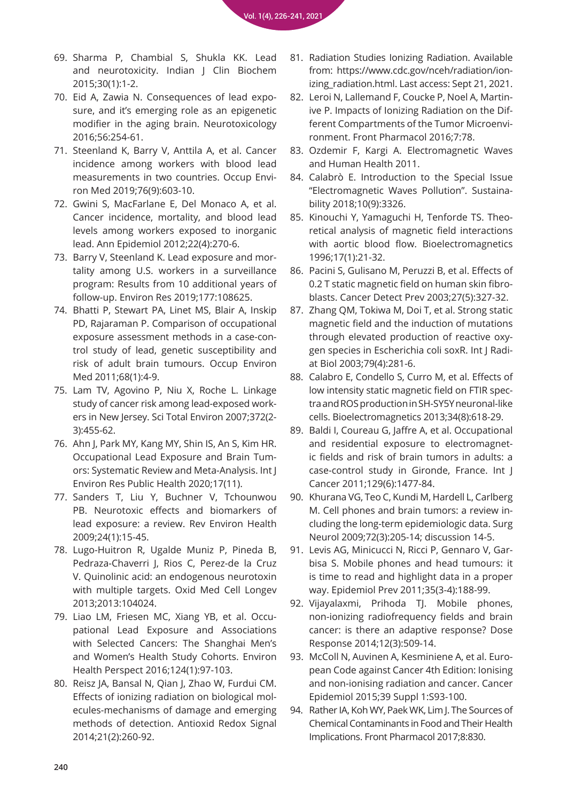- 69. [Sharma P, Chambial S, Shukla KK. Lead](https://pubmed.ncbi.nlm.nih.gov/25646035/)  and neurotoxicity. Indian J Clin Biochem 2015;30(1):1-2.
- 70. Eid A, Zawia N. Consequences of lead expo[sure, and it's emerging role as an epigenetic](https://pubmed.ncbi.nlm.nih.gov/27066759/)  modifier in the aging brain. Neurotoxicology 2016;56:254-61.
- 71. [Steenland K, Barry V, Anttila A, et al. Cancer](https://pubmed.ncbi.nlm.nih.gov/31296664/)  incidence among workers with blood lead measurements in two countries. Occup Environ Med 2019;76(9):603-10.
- 72. [Gwini S, MacFarlane E, Del Monaco A, et al.](https://pubmed.ncbi.nlm.nih.gov/22285868/)  Cancer incidence, mortality, and blood lead levels among workers exposed to inorganic lead. Ann Epidemiol 2012;22(4):270-6.
- 73. Barry V, Steenland K. Lead exposure and mor[tality among U.S. workers in a surveillance](https://pubmed.ncbi.nlm.nih.gov/31401374/)  program: Results from 10 additional years of follow-up. Environ Res 2019;177:108625.
- 74. [Bhatti P, Stewart PA, Linet MS, Blair A, Inskip](https://pubmed.ncbi.nlm.nih.gov/20798009/)  PD, Rajaraman P. Comparison of occupational exposure assessment methods in a case-control study of lead, genetic susceptibility and risk of adult brain tumours. Occup Environ Med 2011;68(1):4-9.
- 75. [Lam TV, Agovino P, Niu X, Roche L. Linkage](https://pubmed.ncbi.nlm.nih.gov/17129599/)  study of cancer risk among lead-exposed workers in New Jersey. Sci Total Environ 2007;372(2- 3):455-62.
- 76. [Ahn J, Park MY, Kang MY, Shin IS, An S, Kim HR.](https://pubmed.ncbi.nlm.nih.gov/32503353/)  Occupational Lead Exposure and Brain Tumors: Systematic Review and Meta-Analysis. Int J Environ Res Public Health 2020;17(11).
- 77. [Sanders T, Liu Y, Buchner V, Tchounwou](https://pubmed.ncbi.nlm.nih.gov/19476290/)  PB. Neurotoxic effects and biomarkers of lead exposure: a review. Rev Environ Health 2009;24(1):15-45.
- 78. [Lugo-Huitron R, Ugalde Muniz P, Pineda B,](https://pubmed.ncbi.nlm.nih.gov/24089628/)  Pedraza-Chaverri J, Rios C, Perez-de la Cruz V. Quinolinic acid: an endogenous neurotoxin with multiple targets. Oxid Med Cell Longev 2013;2013:104024.
- 79. Liao LM, Friesen MC, Xiang YB, et al. Occu[pational Lead Exposure and Associations](https://pubmed.ncbi.nlm.nih.gov/26091556/)  with Selected Cancers: The Shanghai Men's and Women's Health Study Cohorts. Environ Health Perspect 2016;124(1):97-103.
- 80. [Reisz JA, Bansal N, Qian J, Zhao W, Furdui CM.](https://pubmed.ncbi.nlm.nih.gov/24382094/)  Effects of ionizing radiation on biological molecules-mechanisms of damage and emerging methods of detection. Antioxid Redox Signal 2014;21(2):260-92.
- 81. Radiation Studies Ionizing Radiation. Available from: https://www.cdc.gov/nceh/radiation/ionizing\_radiation.html. Last access: Sept 21, 2021.
- 82. Leroi N, Lallemand F, Coucke P, Noel A, Martin[ive P. Impacts of Ionizing Radiation on the Dif](https://pubmed.ncbi.nlm.nih.gov/27064581/)ferent Compartments of the Tumor Microenvironment. Front Pharmacol 2016;7:78.
- 83. [Ozdemir F, Kargi A. Electromagnetic Waves](https://cdn.intechopen.com/pdfs/16094/InTech-Electromagnetic_waves_and_human_health.pdf)  and Human Health 2011.
- 84. [Calabrò E. Introduction to the Special Issue](https://www.mdpi.com/2071-1050/10/9/3326/htm)  "Electromagnetic Waves Pollution". Sustainability 2018;10(9):3326.
- 85. Kinouchi Y, Yamaguchi H, Tenforde TS. Theo[retical analysis of magnetic field interactions](https://pubmed.ncbi.nlm.nih.gov/8742752/)  with aortic blood flow. Bioelectromagnetics 1996;17(1):21-32.
- 86. [Pacini S, Gulisano M, Peruzzi B, et al. Effects of](https://pubmed.ncbi.nlm.nih.gov/14585318/)  0.2 T static magnetic field on human skin fibroblasts. Cancer Detect Prev 2003;27(5):327-32.
- 87. [Zhang QM, Tokiwa M, Doi T, et al. Strong static](https://pubmed.ncbi.nlm.nih.gov/12775452/)  magnetic field and the induction of mutations through elevated production of reactive oxygen species in Escherichia coli soxR. Int J Radiat Biol 2003;79(4):281-6.
- 88. [Calabro E, Condello S, Curro M, et al. Effects of](https://pubmed.ncbi.nlm.nih.gov/24217848/)  low intensity static magnetic field on FTIR spectra and ROS production in SH-SY5Y neuronal-like cells. Bioelectromagnetics 2013;34(8):618-29.
- 89. [Baldi I, Coureau G, Jaffre A, et al. Occupational](https://pubmed.ncbi.nlm.nih.gov/21792884/)  and residential exposure to electromagnetic fields and risk of brain tumors in adults: a case-control study in Gironde, France. Int J Cancer 2011;129(6):1477-84.
- 90. [Khurana VG, Teo C, Kundi M, Hardell L, Carlberg](https://pubmed.ncbi.nlm.nih.gov/19328536/)  M. Cell phones and brain tumors: a review including the long-term epidemiologic data. Surg Neurol 2009;72(3):205-14; discussion 14-5.
- 91. Levis AG, Minicucci N, Ricci P, Gennaro V, Gar[bisa S. Mobile phones and head tumours: it](https://pubmed.ncbi.nlm.nih.gov/21914915/)  is time to read and highlight data in a proper way. Epidemiol Prev 2011;35(3-4):188-99.
- 92. [Vijayalaxmi, Prihoda TJ. Mobile phones,](https://pubmed.ncbi.nlm.nih.gov/25249839/)  non-ionizing radiofrequency fields and brain cancer: is there an adaptive response? Dose Response 2014;12(3):509-14.
- 93. McColl N, Auvinen A, Kesminiene A, et al. Euro[pean Code against Cancer 4th Edition: Ionising](https://pubmed.ncbi.nlm.nih.gov/26126928/)  and non-ionising radiation and cancer. Cancer Epidemiol 2015;39 Suppl 1:S93-100.
- 94. [Rather IA, Koh WY, Paek WK, Lim J. The Sources of](https://pubmed.ncbi.nlm.nih.gov/29204118/)  Chemical Contaminants in Food and Their Health Implications. Front Pharmacol 2017;8:830.